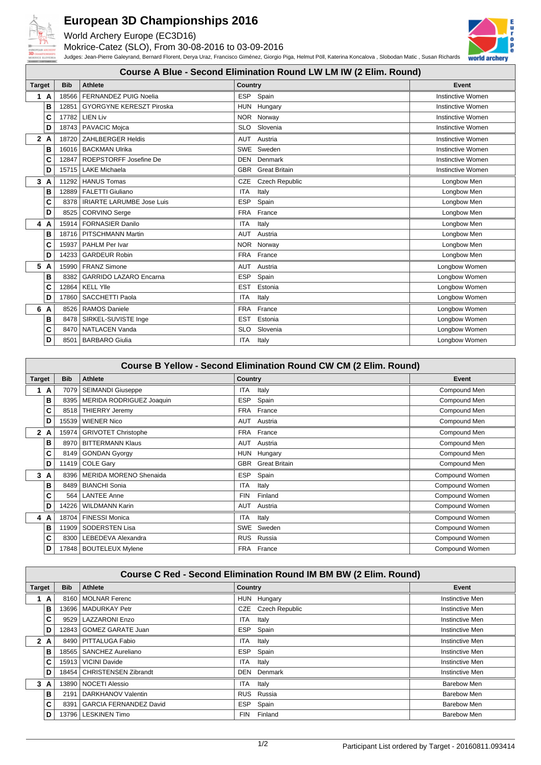

## **European 3D Championships 2016**

World Archery Europe (EC3D16)

Mokrice-Catez (SLO), From 30-08-2016 to 03-09-2016 Judges: Jean-Pierre Galeyrand, Bernard Florent, Derya Uraz, Francisco Giménez, Giorgio Piga, Helmut Pöll, Katerina Koncalova , Slobodan Matic , Susan Richards



**Course A Blue - Second Elimination Round LW LM IW (2 Elim. Round)**

| <b>Target</b> |    | <b>Bib</b> | <b>Athlete</b>                   | Country                      | Event             |
|---------------|----|------------|----------------------------------|------------------------------|-------------------|
| $\mathbf{1}$  | A  | 18566      | <b>FERNANDEZ PUIG Noelia</b>     | <b>ESP</b><br>Spain          | Instinctive Women |
|               | B  | 12851      | <b>GYORGYNE KERESZT Piroska</b>  | Hungary<br><b>HUN</b>        | Instinctive Women |
|               | C  | 17782      | <b>LIEN Liv</b>                  | NOR Norway                   | Instinctive Women |
|               | D  | 18743      | <b>PAVACIC Mojca</b>             | Slovenia<br><b>SLO</b>       | Instinctive Women |
|               | 2A | 18720      | <b>ZAHLBERGER Heldis</b>         | AUT<br>Austria               | Instinctive Women |
|               | в  | 16016      | <b>BACKMAN Ulrika</b>            | <b>SWE</b><br>Sweden         | Instinctive Women |
|               | C  | 12847      | ROEPSTORFF Josefine De           | DEN Denmark                  | Instinctive Women |
|               | D  | 15715      | <b>LAKE Michaela</b>             | <b>GBR</b> Great Britain     | Instinctive Women |
| 3             | A  | 11292      | <b>HANUS Tomas</b>               | <b>Czech Republic</b><br>CZE | Longbow Men       |
|               | в  | 12889      | <b>FALETTI Giuliano</b>          | <b>ITA</b><br>Italy          | Longbow Men       |
|               | C  | 8378       | <b>IRIARTE LARUMBE Jose Luis</b> | Spain<br><b>ESP</b>          | Longbow Men       |
|               | D  | 8525       | CORVINO Serge                    | France<br><b>FRA</b>         | Longbow Men       |
| 4             | A  | 15914      | <b>FORNASIER Danilo</b>          | <b>ITA</b><br>Italy          | Longbow Men       |
|               | B  | 18716      | PITSCHMANN Martin                | AUT<br>Austria               | Longbow Men       |
|               | C  | 15937      | PAHLM Per Ivar                   | <b>NOR</b><br>Norway         | Longbow Men       |
|               | D  | 14233      | <b>GARDEUR Robin</b>             | France<br><b>FRA</b>         | Longbow Men       |
| 5             | A  | 15990      | <b>FRANZ Simone</b>              | <b>AUT</b><br>Austria        | Longbow Women     |
|               | B  | 8382       | <b>GARRIDO LAZARO Encarna</b>    | <b>ESP</b><br>Spain          | Longbow Women     |
|               | C  | 12864      | <b>KELL YIIe</b>                 | Estonia<br><b>EST</b>        | Longbow Women     |
|               | D  | 17860      | SACCHETTI Paola                  | <b>ITA</b><br>Italy          | Longbow Women     |
| 6             | A  | 8526       | <b>RAMOS Daniele</b>             | France<br><b>FRA</b>         | Longbow Women     |
|               | в  | 8478       | SIRKEL-SUVISTE Inge              | <b>EST</b><br>Estonia        | Longbow Women     |
|               | C  | 8470       | <b>NATLACEN Vanda</b>            | <b>SLO</b><br>Slovenia       | Longbow Women     |
|               | D  | 8501       | <b>BARBARO</b> Giulia            | <b>ITA</b><br>Italy          | Longbow Women     |

| <b>Course B Yellow - Second Elimination Round CW CM (2 Elim. Round)</b> |              |            |                               |                       |                |
|-------------------------------------------------------------------------|--------------|------------|-------------------------------|-----------------------|----------------|
| <b>Target</b>                                                           |              | <b>Bib</b> | Athlete                       | Country               | Event          |
| 1                                                                       | $\mathbf{A}$ | 7079       | <b>SEIMANDI Giuseppe</b>      | ITA<br>Italy          | Compound Men   |
|                                                                         | в            | 8395       | MERIDA RODRIGUEZ Joaquin      | <b>ESP</b><br>Spain   | Compound Men   |
|                                                                         | C            | 8518       | <b>THIERRY Jeremy</b>         | FRA France            | Compound Men   |
|                                                                         | D            | 15539      | <b>WIENER Nico</b>            | AUT Austria           | Compound Men   |
|                                                                         | 2A           | 15974 l    | <b>GRIVOTET Christophe</b>    | FRA France            | Compound Men   |
|                                                                         | в            | 8970       | <b>BITTERMANN Klaus</b>       | AUT Austria           | Compound Men   |
|                                                                         | C            |            | 8149 GONDAN Gyorgy            | HUN Hungary           | Compound Men   |
|                                                                         | D            |            | 11419 COLE Gary               | GBR Great Britain     | Compound Men   |
|                                                                         | 3A           |            | 8396   MERIDA MORENO Shenaida | ESP<br>Spain          | Compound Women |
|                                                                         | в            | 8489       | <b>BIANCHI Sonia</b>          | ITA<br>Italy          | Compound Women |
|                                                                         | C            | 564        | <b>LANTEE Anne</b>            | Finland<br><b>FIN</b> | Compound Women |
|                                                                         | D            | 14226      | <b>WILDMANN Karin</b>         | AUT Austria           | Compound Women |
|                                                                         | 4 A          | 18704      | <b>FINESSI Monica</b>         | ITA<br>Italy          | Compound Women |
|                                                                         | в            | 11909      | <b>SODERSTEN Lisa</b>         | SWE Sweden            | Compound Women |
|                                                                         | C            | 8300       | LEBEDEVA Alexandra            | <b>RUS</b><br>Russia  | Compound Women |
|                                                                         | D            | 17848      | <b>BOUTELEUX Mylene</b>       | FRA France            | Compound Women |

| <b>Course C Red - Second Elimination Round IM BM BW (2 Elim. Round)</b> |     |            |                               |                       |                        |
|-------------------------------------------------------------------------|-----|------------|-------------------------------|-----------------------|------------------------|
| <b>Target</b>                                                           |     | <b>Bib</b> | Athlete                       | Country               | Event                  |
|                                                                         | 1 A | 8160       | <b>MOLNAR Ferenc</b>          | HUN Hungary           | Instinctive Men        |
|                                                                         | в   | 13696      | <b>MADURKAY Petr</b>          | CZE Czech Republic    | Instinctive Men        |
|                                                                         | C   | 9529       | <b>LAZZARONI Enzo</b>         | ITA<br>Italy          | <b>Instinctive Men</b> |
|                                                                         | D   | 12843      | <b>GOMEZ GARATE Juan</b>      | ESP Spain             | <b>Instinctive Men</b> |
|                                                                         | 2A  | 8490       | PITTALUGA Fabio               | Italy<br>ITA          | Instinctive Men        |
|                                                                         | B   | 18565      | SANCHEZ Aureliano             | <b>ESP</b><br>Spain   | Instinctive Men        |
|                                                                         | C   | 15913 l    | <b>VICINI Davide</b>          | ITA<br>Italy          | Instinctive Men        |
|                                                                         | D   | 18454      | <b>CHRISTENSEN Zibrandt</b>   | <b>DEN</b> Denmark    | Instinctive Men        |
| 3                                                                       | A   | 13890      | <b>NOCETI Alessio</b>         | ITA<br>Italv          | Barebow Men            |
|                                                                         | B   | 2191       | DARKHANOV Valentin            | RUS Russia            | Barebow Men            |
|                                                                         | C   | 8391       | <b>GARCIA FERNANDEZ David</b> | <b>ESP</b><br>Spain   | Barebow Men            |
|                                                                         | D   | 13796      | <b>LESKINEN Timo</b>          | Finland<br><b>FIN</b> | Barebow Men            |